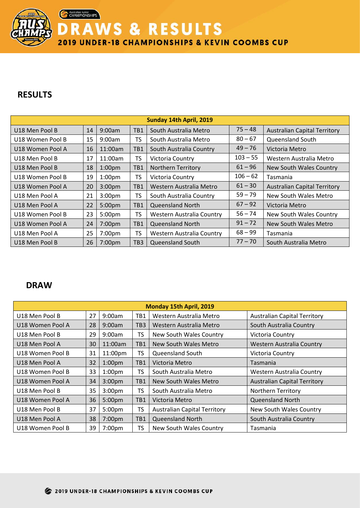**DRAWS & RESULTS** 

2019 UNDER-18 CHAMPIONSHIPS & KEVIN COOMBS CUP

## **RESULTS**

Australian Junior

|                  | Sunday 14th April, 2019 |                    |                 |                                                        |                                       |                                     |  |  |  |
|------------------|-------------------------|--------------------|-----------------|--------------------------------------------------------|---------------------------------------|-------------------------------------|--|--|--|
| U18 Men Pool B   | 14                      | 9:00am             | TB1             | South Australia Metro                                  | $75 - 48$                             | <b>Australian Capital Territory</b> |  |  |  |
| U18 Women Pool B | 15                      | 9:00am             | TS              | $80 - 67$<br>Queensland South<br>South Australia Metro |                                       |                                     |  |  |  |
| U18 Women Pool A | 16                      | 11:00am            | TB1             | South Australia Country                                | $49 - 76$                             | Victoria Metro                      |  |  |  |
| U18 Men Pool B   | 17                      | 11:00am            | TS              | Victoria Country                                       | $103 - 55$<br>Western Australia Metro |                                     |  |  |  |
| U18 Men Pool B   | 18                      | 1:00 <sub>pm</sub> | TB1             | $61 - 96$<br><b>Northern Territory</b>                 |                                       | New South Wales Country             |  |  |  |
| U18 Women Pool B | 19                      | 1:00 <sub>pm</sub> | TS              | Victoria Country                                       | $106 - 62$<br>Tasmania                |                                     |  |  |  |
| U18 Women Pool A | 20                      | 3:00 <sub>pm</sub> | TB1             | $61 - 30$<br>Western Australia Metro                   |                                       | <b>Australian Capital Territory</b> |  |  |  |
| U18 Men Pool A   | 21                      | 3:00 <sub>pm</sub> | TS              | South Australia Country                                | $59 - 79$                             | New South Wales Metro               |  |  |  |
| U18 Men Pool A   | 22                      | 5:00pm             | TB1             | <b>Queensland North</b>                                | $67 - 92$                             | Victoria Metro                      |  |  |  |
| U18 Women Pool B | 23                      | 5:00 <sub>pm</sub> | TS              | Western Australia Country                              | $56 - 74$                             | New South Wales Country             |  |  |  |
| U18 Women Pool A | 24                      | 7:00pm             | TB1             | $91 - 72$<br><b>Queensland North</b>                   |                                       | New South Wales Metro               |  |  |  |
| U18 Men Pool A   | 25                      | 7:00pm             | TS              | Western Australia Country                              | $68 - 99$                             | Tasmania                            |  |  |  |
| U18 Men Pool B   | 26                      | 7:00pm             | TB <sub>3</sub> | <b>Queensland South</b>                                | $77 - 70$                             | South Australia Metro               |  |  |  |

## **DRAW**

| Monday 15th April, 2019 |    |                     |                 |                                     |                                     |  |  |  |
|-------------------------|----|---------------------|-----------------|-------------------------------------|-------------------------------------|--|--|--|
| U18 Men Pool B          | 27 | 9:00am              | TB1             | Western Australia Metro             | <b>Australian Capital Territory</b> |  |  |  |
| U18 Women Pool A        | 28 | 9:00am              | TB <sub>3</sub> | Western Australia Metro             | South Australia Country             |  |  |  |
| U18 Men Pool B          | 29 | 9:00am              | TS              | New South Wales Country             | Victoria Country                    |  |  |  |
| U18 Men Pool A          | 30 | 11:00am             | TB1             | New South Wales Metro               | Western Australia Country           |  |  |  |
| U18 Women Pool B        | 31 | 11:00 <sub>pm</sub> | TS              | Queensland South                    | Victoria Country                    |  |  |  |
| U18 Men Pool A          | 32 | 1:00 <sub>pm</sub>  | TB1             | Victoria Metro                      | Tasmania                            |  |  |  |
| U18 Women Pool B        | 33 | 1:00 <sub>pm</sub>  | TS              | South Australia Metro               | Western Australia Country           |  |  |  |
| U18 Women Pool A        | 34 | 3:00 <sub>pm</sub>  | TB1             | New South Wales Metro               | <b>Australian Capital Territory</b> |  |  |  |
| U18 Men Pool B          | 35 | 3:00 <sub>pm</sub>  | TS              | South Australia Metro               | Northern Territory                  |  |  |  |
| U18 Women Pool A        | 36 | 5:00 <sub>pm</sub>  | TB1             | Victoria Metro                      | <b>Queensland North</b>             |  |  |  |
| U18 Men Pool B          | 37 | 5:00pm              | TS              | <b>Australian Capital Territory</b> | New South Wales Country             |  |  |  |
| U18 Men Pool A          | 38 | 7:00 <sub>pm</sub>  | TB1             | <b>Queensland North</b>             | South Australia Country             |  |  |  |
| U18 Women Pool B        | 39 | 7:00 <sub>pm</sub>  | TS              | New South Wales Country             | Tasmania                            |  |  |  |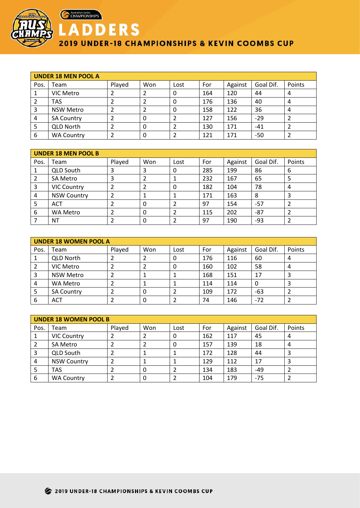

Australian Junior

## **ADDERS** 2019 UNDER-18 CHAMPIONSHIPS & KEVIN COOMBS CUP

| UNDER 18 MEN POOL A |                   |        |     |      |     |         |           |        |  |
|---------------------|-------------------|--------|-----|------|-----|---------|-----------|--------|--|
| Pos.                | Team              | Played | Won | Lost | For | Against | Goal Dif. | Points |  |
| 1                   | VIC Metro         |        |     | 0    | 164 | 120     | 44        | 4      |  |
|                     | <b>TAS</b>        |        |     | 0    | 176 | 136     | 40        | 4      |  |
| 3                   | <b>NSW Metro</b>  |        |     | 0    | 158 | 122     | 36        | 4      |  |
| 4                   | <b>SA Country</b> |        | 0   |      | 127 | 156     | $-29$     |        |  |
| 5                   | <b>QLD North</b>  |        | 0   |      | 130 | 171     | $-41$     |        |  |
| 6                   | <b>WA Country</b> |        | 0   |      | 121 | 171     | $-50$     |        |  |

| <b>UNDER 18 MEN POOL B</b> |                    |        |          |      |     |         |           |        |
|----------------------------|--------------------|--------|----------|------|-----|---------|-----------|--------|
| Pos.                       | Team               | Played | Won      | Lost | For | Against | Goal Dif. | Points |
|                            | <b>QLD South</b>   | 3      | 3        | 0    | 285 | 199     | 86        | 6      |
| 2                          | <b>SA Metro</b>    | 3      |          |      | 232 | 167     | 65        | 5      |
| 3                          | <b>VIC Country</b> |        |          | 0    | 182 | 104     | 78        | 4      |
| 4                          | <b>NSW Country</b> |        |          |      | 171 | 163     | 8         | 3      |
| 5                          | <b>ACT</b>         |        | $\Omega$ |      | 97  | 154     | $-57$     |        |
| 6                          | <b>WA Metro</b>    |        | 0        |      | 115 | 202     | $-87$     |        |
|                            | <b>NT</b>          |        | 0        |      | 97  | 190     | -93       |        |

| <b>UNDER 18 WOMEN POOL A</b> |                   |        |          |      |     |         |           |        |  |
|------------------------------|-------------------|--------|----------|------|-----|---------|-----------|--------|--|
| Pos.                         | Team              | Played | Won      | Lost | For | Against | Goal Dif. | Points |  |
|                              | <b>QLD North</b>  |        |          | 0    | 176 | 116     | 60        | 4      |  |
|                              | VIC Metro         |        |          | 0    | 160 | 102     | 58        | 4      |  |
| 3                            | <b>NSW Metro</b>  |        |          |      | 168 | 151     | 17        | 3      |  |
| 4                            | WA Metro          |        |          |      | 114 | 114     |           | 3      |  |
|                              | <b>SA Country</b> |        | $\Omega$ |      | 109 | 172     | $-63$     |        |  |
| 6                            | <b>ACT</b>        |        | 0        |      | 74  | 146     | $-72$     |        |  |

| <b>UNDER 18 WOMEN POOL B</b> |                    |        |     |      |     |         |           |        |
|------------------------------|--------------------|--------|-----|------|-----|---------|-----------|--------|
| Pos.                         | Team               | Played | Won | Lost | For | Against | Goal Dif. | Points |
|                              | <b>VIC Country</b> |        |     | 0    | 162 | 117     | 45        | 4      |
|                              | <b>SA Metro</b>    |        |     | 0    | 157 | 139     | 18        | 4      |
|                              | <b>QLD South</b>   |        |     |      | 172 | 128     | 44        |        |
| 4                            | <b>NSW Country</b> |        |     |      | 129 | 112     | 17        | 3      |
|                              | <b>TAS</b>         |        | 0   |      | 134 | 183     | $-49$     |        |
| 6                            | <b>WA Country</b>  |        |     |      | 104 | 179     | $-75$     |        |